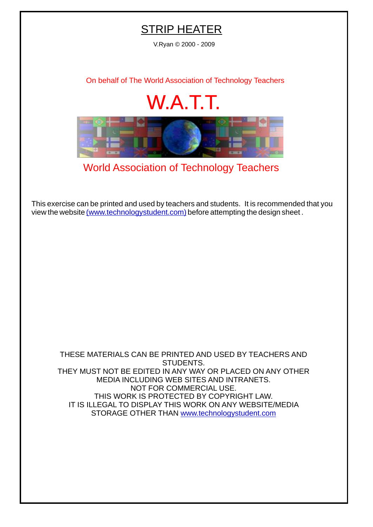## **STRIP HEATER**

V.Ryan © 2000 - 2009

[On behalf of The World Association of Technology Teachers](http://www.technologystudent.com)

## W.A.T.T.



[World Association of Technology Teachers](http://www.technologystudent.com)

[This exercise can be printed and used by teachers and students. It is recommended that you](http://www.technologystudent.com/designpro/drawdex.htm) view the website [\(www.technologystudent.com\)](http://www.technologystudent.com) before attempting the design sheet .

THESE MATERIALS CAN BE PRINTED AND USED BY TEACHERS AND STUDENTS. THEY MUST NOT BE EDITED IN ANY WAY OR PLACED ON ANY OTHER MEDIA INCLUDING WEB SITES AND INTRANETS. NOT FOR COMMERCIAL USE. THIS WORK IS PROTECTED BY COPYRIGHT LAW. IT IS ILLEGAL TO DISPLAY THIS WORK ON ANY WEBSITE/MEDIA STORAGE OTHER THAN [www.technologystudent.com](http://www.technologystudent.com)